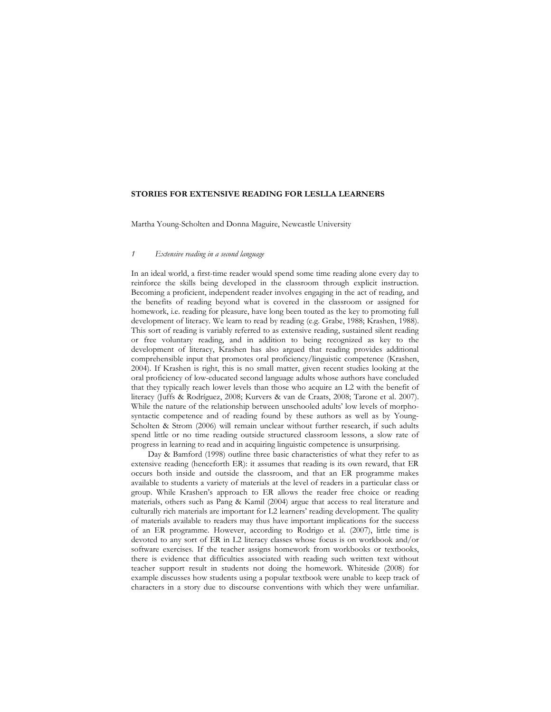### **STORIES FOR EXTENSIVE READING FOR LESLLA LEARNERS**

Martha Young-Scholten and Donna Maguire, Newcastle University

### *1 Extensive reading in a second language*

In an ideal world, a first-time reader would spend some time reading alone every day to reinforce the skills being developed in the classroom through explicit instruction. Becoming a proficient, independent reader involves engaging in the act of reading, and the benefits of reading beyond what is covered in the classroom or assigned for homework, i.e. reading for pleasure, have long been touted as the key to promoting full development of literacy. We learn to read by reading (e.g. Grabe, 1988; Krashen, 1988). This sort of reading is variably referred to as extensive reading, sustained silent reading or free voluntary reading, and in addition to being recognized as key to the development of literacy, Krashen has also argued that reading provides additional comprehensible input that promotes oral proficiency/linguistic competence (Krashen, 2004). If Krashen is right, this is no small matter, given recent studies looking at the oral proficiency of low-educated second language adults whose authors have concluded that they typically reach lower levels than those who acquire an L2 with the benefit of literacy (Juffs & Rodríguez, 2008; Kurvers & van de Craats, 2008; Tarone et al. 2007). While the nature of the relationship between unschooled adults' low levels of morphosyntactic competence and of reading found by these authors as well as by Young-Scholten & Strom (2006) will remain unclear without further research, if such adults spend little or no time reading outside structured classroom lessons, a slow rate of progress in learning to read and in acquiring linguistic competence is unsurprising.

Day & Bamford (1998) outline three basic characteristics of what they refer to as extensive reading (henceforth ER): it assumes that reading is its own reward, that ER occurs both inside and outside the classroom, and that an ER programme makes available to students a variety of materials at the level of readers in a particular class or group. While Krashen's approach to ER allows the reader free choice or reading materials, others such as Pang & Kamil (2004) argue that access to real literature and culturally rich materials are important for L2 learners' reading development. The quality of materials available to readers may thus have important implications for the success of an ER programme. However, according to Rodrigo et al. (2007), little time is devoted to any sort of ER in L2 literacy classes whose focus is on workbook and/or software exercises. If the teacher assigns homework from workbooks or textbooks, there is evidence that difficulties associated with reading such written text without teacher support result in students not doing the homework. Whiteside (2008) for example discusses how students using a popular textbook were unable to keep track of characters in a story due to discourse conventions with which they were unfamiliar.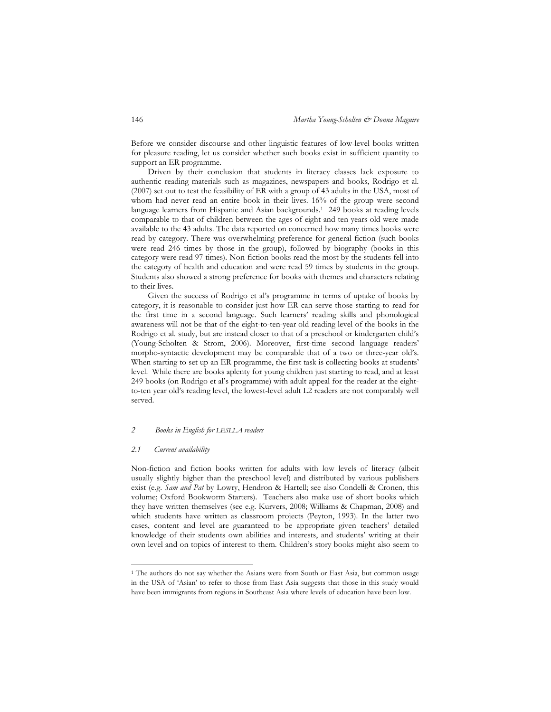Before we consider discourse and other linguistic features of low-level books written for pleasure reading, let us consider whether such books exist in sufficient quantity to support an ER programme.

Driven by their conclusion that students in literacy classes lack exposure to authentic reading materials such as magazines, newspapers and books, Rodrigo et al. (2007) set out to test the feasibility of ER with a group of 43 adults in the USA, most of whom had never read an entire book in their lives. 16% of the group were second language learners from Hispanic and Asian backgrounds.<sup>1</sup> 249 books at reading levels comparable to that of children between the ages of eight and ten years old were made available to the 43 adults. The data reported on concerned how many times books were read by category. There was overwhelming preference for general fiction (such books were read 246 times by those in the group), followed by biography (books in this category were read 97 times). Non-fiction books read the most by the students fell into the category of health and education and were read 59 times by students in the group. Students also showed a strong preference for books with themes and characters relating to their lives.

Given the success of Rodrigo et al's programme in terms of uptake of books by category, it is reasonable to consider just how ER can serve those starting to read for the first time in a second language. Such learners' reading skills and phonological awareness will not be that of the eight-to-ten-year old reading level of the books in the Rodrigo et al. study, but are instead closer to that of a preschool or kindergarten child's (Young-Scholten & Strom, 2006). Moreover, first-time second language readers' morpho-syntactic development may be comparable that of a two or three-year old's. When starting to set up an ER programme, the first task is collecting books at students' level. While there are books aplenty for young children just starting to read, and at least 249 books (on Rodrigo et al's programme) with adult appeal for the reader at the eightto-ten year old's reading level, the lowest-level adult L2 readers are not comparably well served.

## *2 Books in English for LESLLA readers*

### *2.1 Current availability*

-

Non-fiction and fiction books written for adults with low levels of literacy (albeit usually slightly higher than the preschool level) and distributed by various publishers exist (e.g. *Sam and Pat* by Lowry, Hendron & Hartell; see also Condelli & Cronen, this volume; Oxford Bookworm Starters). Teachers also make use of short books which they have written themselves (see e.g. Kurvers, 2008; Williams & Chapman, 2008) and which students have written as classroom projects (Peyton, 1993). In the latter two cases, content and level are guaranteed to be appropriate given teachers' detailed knowledge of their students own abilities and interests, and students' writing at their own level and on topics of interest to them. Children's story books might also seem to

<sup>&</sup>lt;sup>1</sup> The authors do not say whether the Asians were from South or East Asia, but common usage in the USA of 'Asian' to refer to those from East Asia suggests that those in this study would have been immigrants from regions in Southeast Asia where levels of education have been low.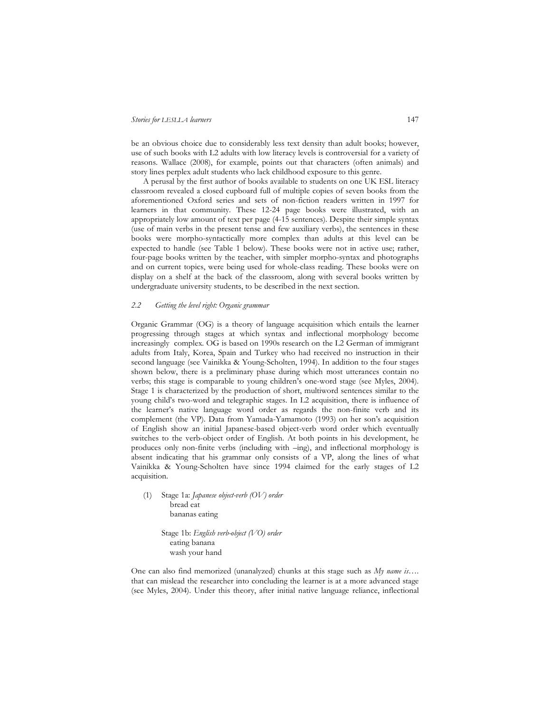be an obvious choice due to considerably less text density than adult books; however, use of such books with L2 adults with low literacy levels is controversial for a variety of reasons. Wallace (2008), for example, points out that characters (often animals) and story lines perplex adult students who lack childhood exposure to this genre.

 A perusal by the first author of books available to students on one UK ESL literacy classroom revealed a closed cupboard full of multiple copies of seven books from the aforementioned Oxford series and sets of non-fiction readers written in 1997 for learners in that community. These 12-24 page books were illustrated, with an appropriately low amount of text per page (4-15 sentences). Despite their simple syntax (use of main verbs in the present tense and few auxiliary verbs), the sentences in these books were morpho-syntactically more complex than adults at this level can be expected to handle (see Table 1 below). These books were not in active use; rather, four-page books written by the teacher, with simpler morpho-syntax and photographs and on current topics, were being used for whole-class reading. These books were on display on a shelf at the back of the classroom, along with several books written by undergraduate university students, to be described in the next section.

## *2.2 Getting the level right: Organic grammar*

Organic Grammar (OG) is a theory of language acquisition which entails the learner progressing through stages at which syntax and inflectional morphology become increasingly complex. OG is based on 1990s research on the L2 German of immigrant adults from Italy, Korea, Spain and Turkey who had received no instruction in their second language (see Vainikka & Young-Scholten, 1994). In addition to the four stages shown below, there is a preliminary phase during which most utterances contain no verbs; this stage is comparable to young children's one-word stage (see Myles, 2004). Stage 1 is characterized by the production of short, multiword sentences similar to the young child's two-word and telegraphic stages. In L2 acquisition, there is influence of the learner's native language word order as regards the non-finite verb and its complement (the VP). Data from Yamada-Yamamoto (1993) on her son's acquisition of English show an initial Japanese-based object-verb word order which eventually switches to the verb-object order of English. At both points in his development, he produces only non-finite verbs (including with –ing), and inflectional morphology is absent indicating that his grammar only consists of a VP, along the lines of what Vainikka & Young-Scholten have since 1994 claimed for the early stages of L2 acquisition.

 (1) Stage 1a: *Japanese object-verb (OV) order* bread eat bananas eating

> Stage 1b: *English verb-object (VO) order*  eating banana wash your hand

One can also find memorized (unanalyzed) chunks at this stage such as *My name is…*. that can mislead the researcher into concluding the learner is at a more advanced stage (see Myles, 2004). Under this theory, after initial native language reliance, inflectional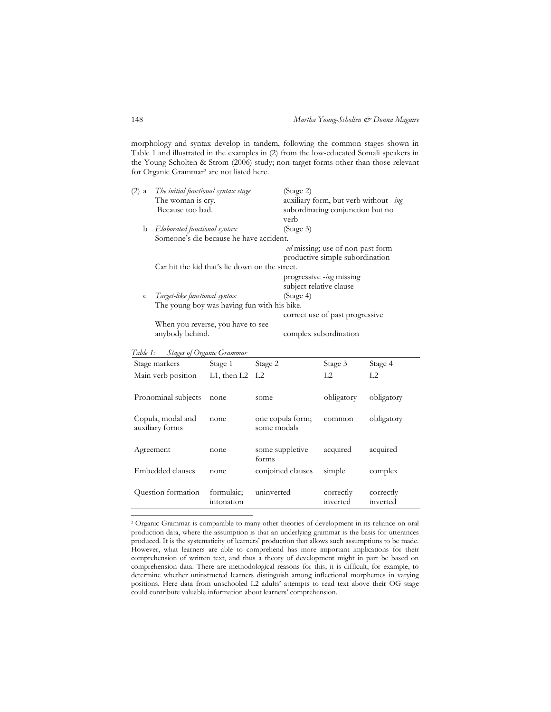morphology and syntax develop in tandem, following the common stages shown in Table 1 and illustrated in the examples in (2) from the low-educated Somali speakers in the Young-Scholten & Strom (2006) study; non-target forms other than those relevant for Organic Grammar<sup>2</sup> are not listed here.

| $(2)$ a | The initial functional syntax stage            | (Stage 2)                               |  |
|---------|------------------------------------------------|-----------------------------------------|--|
|         | The woman is cry.                              | auxiliary form, but verb without -ing   |  |
|         | Because too bad.                               | subordinating conjunction but no        |  |
|         |                                                | verb                                    |  |
| b       | $E$ laborated functional syntax                | (Stage 3)                               |  |
|         | Someone's die because he have accident.        |                                         |  |
|         |                                                | <i>ed</i> missing; use of non-past form |  |
|         |                                                | productive simple subordination         |  |
|         | Car hit the kid that's lie down on the street. |                                         |  |
|         |                                                | progressive -ing missing                |  |
|         |                                                | subject relative clause                 |  |
| C       | Target-like functional syntax                  | (Stage 4)                               |  |
|         | The young boy was having fun with his bike.    |                                         |  |
|         |                                                | correct use of past progressive         |  |
|         | When you reverse, you have to see              |                                         |  |
|         | anybody behind.                                | complex subordination                   |  |
|         |                                                |                                         |  |

*Table 1: Stages of Organic Grammar* 

| Stage markers                        | Stage 1                  | Stage 2                         | Stage 3               | Stage 4               |
|--------------------------------------|--------------------------|---------------------------------|-----------------------|-----------------------|
| Main verb position                   | L1, then $L2$ L2         |                                 | L2                    | L2                    |
| Pronominal subjects                  | none                     | some                            | obligatory            | obligatory            |
| Copula, modal and<br>auxiliary forms | none                     | one copula form;<br>some modals | common                | obligatory            |
| Agreement                            | none                     | some suppletive<br>forms        | acquired              | acquired              |
| Embedded clauses                     | none                     | conjoined clauses               | simple                | complex               |
| Question formation                   | formulaic;<br>intonation | uninverted                      | correctly<br>inverted | correctly<br>inverted |
|                                      |                          |                                 |                       |                       |

<sup>2</sup> Organic Grammar is comparable to many other theories of development in its reliance on oral production data, where the assumption is that an underlying grammar is the basis for utterances produced. It is the systematicity of learners' production that allows such assumptions to be made. However, what learners are able to comprehend has more important implications for their comprehension of written text, and thus a theory of development might in part be based on comprehension data. There are methodological reasons for this; it is difficult, for example, to determine whether uninstructed learners distinguish among inflectional morphemes in varying positions. Here data from unschooled L2 adults' attempts to read text above their OG stage could contribute valuable information about learners' comprehension.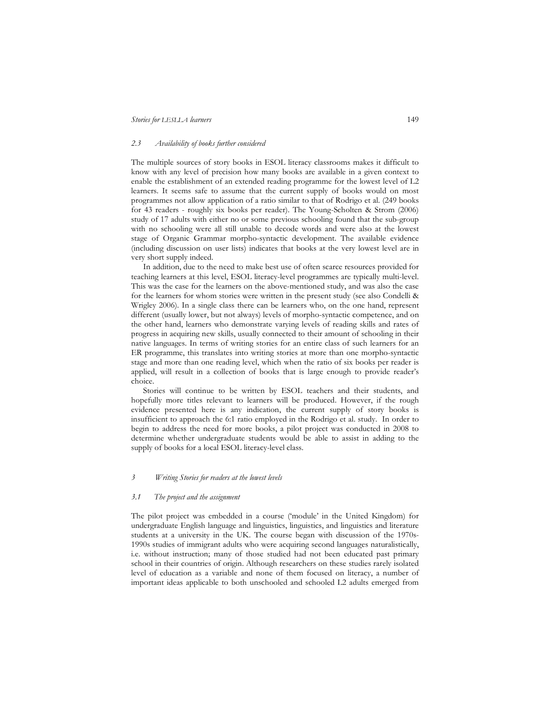### *2.3 Availability of books further considered*

The multiple sources of story books in ESOL literacy classrooms makes it difficult to know with any level of precision how many books are available in a given context to enable the establishment of an extended reading programme for the lowest level of L2 learners. It seems safe to assume that the current supply of books would on most programmes not allow application of a ratio similar to that of Rodrigo et al. (249 books for 43 readers - roughly six books per reader). The Young-Scholten & Strom (2006) study of 17 adults with either no or some previous schooling found that the sub-group with no schooling were all still unable to decode words and were also at the lowest stage of Organic Grammar morpho-syntactic development. The available evidence (including discussion on user lists) indicates that books at the very lowest level are in very short supply indeed.

 In addition, due to the need to make best use of often scarce resources provided for teaching learners at this level, ESOL literacy-level programmes are typically multi-level. This was the case for the learners on the above-mentioned study, and was also the case for the learners for whom stories were written in the present study (see also Condelli & Wrigley 2006). In a single class there can be learners who, on the one hand, represent different (usually lower, but not always) levels of morpho-syntactic competence, and on the other hand, learners who demonstrate varying levels of reading skills and rates of progress in acquiring new skills, usually connected to their amount of schooling in their native languages. In terms of writing stories for an entire class of such learners for an ER programme, this translates into writing stories at more than one morpho-syntactic stage and more than one reading level, which when the ratio of six books per reader is applied, will result in a collection of books that is large enough to provide reader's choice.

 Stories will continue to be written by ESOL teachers and their students, and hopefully more titles relevant to learners will be produced. However, if the rough evidence presented here is any indication, the current supply of story books is insufficient to approach the 6:1 ratio employed in the Rodrigo et al. study. In order to begin to address the need for more books, a pilot project was conducted in 2008 to determine whether undergraduate students would be able to assist in adding to the supply of books for a local ESOL literacy-level class.

## *3 Writing Stories for readers at the lowest levels*

### *3.1 The project and the assignment*

The pilot project was embedded in a course ('module' in the United Kingdom) for undergraduate English language and linguistics, linguistics, and linguistics and literature students at a university in the UK. The course began with discussion of the 1970s-1990s studies of immigrant adults who were acquiring second languages naturalistically, i.e. without instruction; many of those studied had not been educated past primary school in their countries of origin. Although researchers on these studies rarely isolated level of education as a variable and none of them focused on literacy, a number of important ideas applicable to both unschooled and schooled L2 adults emerged from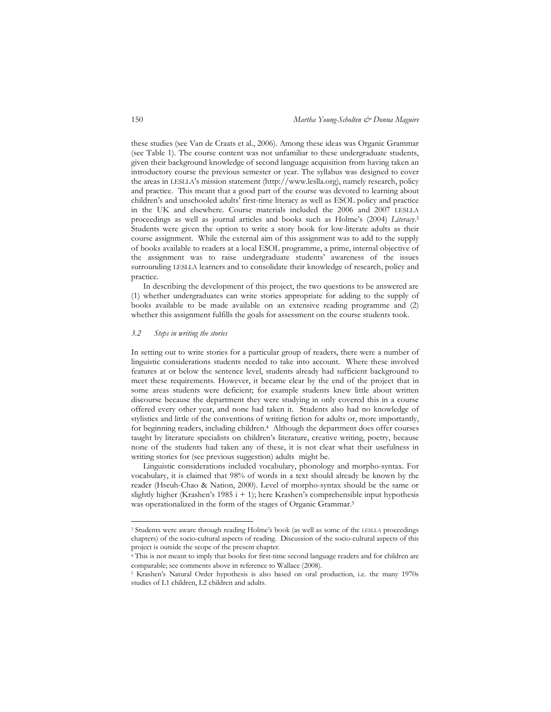these studies (see Van de Craats et al., 2006). Among these ideas was Organic Grammar (see Table 1). The course content was not unfamiliar to these undergraduate students, given their background knowledge of second language acquisition from having taken an introductory course the previous semester or year. The syllabus was designed to cover the areas in LESLLA's mission statement (http://www.leslla.org), namely research, policy and practice. This meant that a good part of the course was devoted to learning about children's and unschooled adults' first-time literacy as well as ESOL policy and practice in the UK and elsewhere. Course materials included the 2006 and 2007 LESLLA proceedings as well as journal articles and books such as Holme's (2004) *Literacy*. 3 Students were given the option to write a story book for low-literate adults as their course assignment. While the external aim of this assignment was to add to the supply of books available to readers at a local ESOL programme, a prime, internal objective of the assignment was to raise undergraduate students' awareness of the issues surrounding LESLLA learners and to consolidate their knowledge of research, policy and practice.

 In describing the development of this project, the two questions to be answered are (1) whether undergraduates can write stories appropriate for adding to the supply of books available to be made available on an extensive reading programme and (2) whether this assignment fulfills the goals for assessment on the course students took.

#### *3.2 Steps in writing the stories*

-

In setting out to write stories for a particular group of readers, there were a number of linguistic considerations students needed to take into account. Where these involved features at or below the sentence level, students already had sufficient background to meet these requirements. However, it became clear by the end of the project that in some areas students were deficient; for example students knew little about written discourse because the department they were studying in only covered this in a course offered every other year, and none had taken it. Students also had no knowledge of stylistics and little of the conventions of writing fiction for adults or, more importantly, for beginning readers, including children.<sup>4</sup> Although the department does offer courses taught by literature specialists on children's literature, creative writing, poetry, because none of the students had taken any of these, it is not clear what their usefulness in writing stories for (see previous suggestion) adults might be.

 Linguistic considerations included vocabulary, phonology and morpho-syntax. For vocabulary, it is claimed that 98% of words in a text should already be known by the reader (Hseuh-Chao & Nation, 2000). Level of morpho-syntax should be the same or slightly higher (Krashen's 1985  $i + 1$ ); here Krashen's comprehensible input hypothesis was operationalized in the form of the stages of Organic Grammar.<sup>5</sup>

<sup>&</sup>lt;sup>3</sup> Students were aware through reading Holme's book (as well as some of the LESLLA proceedings chapters) of the socio-cultural aspects of reading. Discussion of the socio-cultural aspects of this project is outside the scope of the present chapter.

<sup>4</sup> This is not meant to imply that books for first-time second language readers and for children are comparable; see comments above in reference to Wallace (2008).

<sup>5</sup> Krashen's Natural Order hypothesis is also based on oral production, i.e. the many 1970s studies of L1 children, L2 children and adults.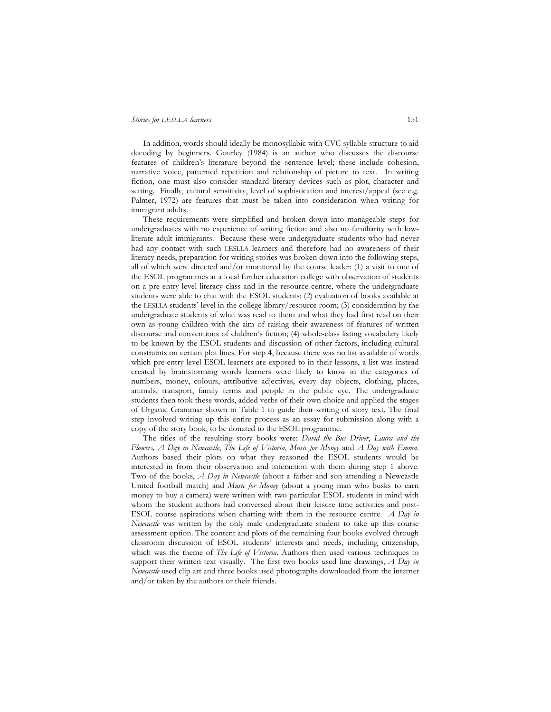In addition, words should ideally be monosyllabic with CVC syllable structure to aid decoding by beginners. Gourley (1984) is an author who discusses the discourse features of children's literature beyond the sentence level; these include cohesion, narrative voice, patterned repetition and relationship of picture to text. In writing fiction, one must also consider standard literary devices such as plot, character and setting. Finally, cultural sensitivity, level of sophistication and interest/appeal (see e.g. Palmer, 1972) are features that must be taken into consideration when writing for immigrant adults.

 These requirements were simplified and broken down into manageable steps for undergraduates with no experience of writing fiction and also no familiarity with lowliterate adult immigrants. Because these were undergraduate students who had never had any contact with such LESLLA learners and therefore had no awareness of their literacy needs, preparation for writing stories was broken down into the following steps, all of which were directed and/or monitored by the course leader: (1) a visit to one of the ESOL programmes at a local further education college with observation of students on a pre-entry level literacy class and in the resource centre, where the undergraduate students were able to chat with the ESOL students; (2) evaluation of books available at the LESLLA students' level in the college library/resource room; (3) consideration by the undergraduate students of what was read to them and what they had first read on their own as young children with the aim of raising their awareness of features of written discourse and conventions of children's fiction; (4) whole-class listing vocabulary likely to be known by the ESOL students and discussion of other factors, including cultural constraints on certain plot lines. For step 4, because there was no list available of words which pre-entry level ESOL learners are exposed to in their lessons, a list was instead created by brainstorming words learners were likely to know in the categories of numbers, money, colours, attributive adjectives, every day objects, clothing, places, animals, transport, family terms and people in the public eye. The undergraduate students then took these words, added verbs of their own choice and applied the stages of Organic Grammar shown in Table 1 to guide their writing of story text. The final step involved writing up this entire process as an essay for submission along with a copy of the story book, to be donated to the ESOL programme.

 The titles of the resulting story books were: *David the Bus Driver*, *Laura and the Flowers, A Day in Newcastle*, *The Life of Victoria*, *Music for Money* and *A Day with Emma*. Authors based their plots on what they reasoned the ESOL students would be interested in from their observation and interaction with them during step 1 above. Two of the books, *A Day in Newcastle* (about a father and son attending a Newcastle United football match) and *Music for Money* (about a young man who busks to earn money to buy a camera) were written with two particular ESOL students in mind with whom the student authors had conversed about their leisure time activities and post-ESOL course aspirations when chatting with them in the resource centre. *A Day in Newcastle* was written by the only male undergraduate student to take up this course assessment option. The content and plots of the remaining four books evolved through classroom discussion of ESOL students' interests and needs, including citizenship, which was the theme of *The Life of Victoria*. Authors then used various techniques to support their written text visually. The first two books used line drawings, *A Day in Newcastle* used clip art and three books used photographs downloaded from the internet and/or taken by the authors or their friends.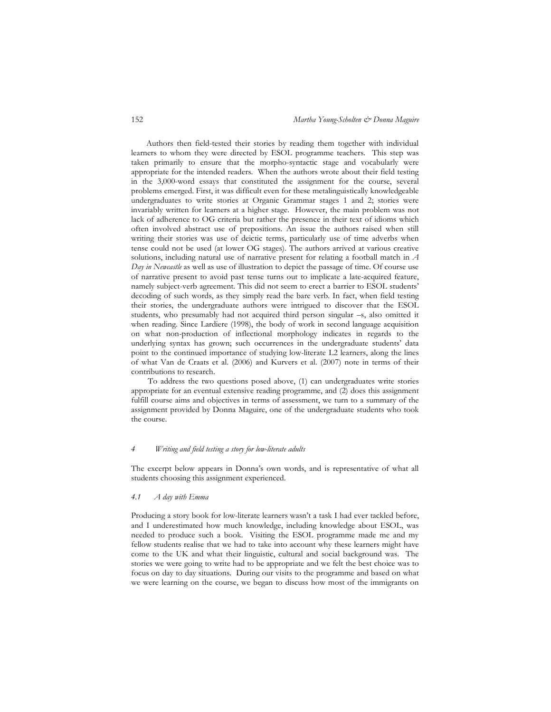152 *Martha Young-Scholten & Donna Maguire* 

Authors then field-tested their stories by reading them together with individual learners to whom they were directed by ESOL programme teachers. This step was taken primarily to ensure that the morpho-syntactic stage and vocabularly were appropriate for the intended readers. When the authors wrote about their field testing in the 3,000-word essays that constituted the assignment for the course, several problems emerged. First, it was difficult even for these metalinguistically knowledgeable undergraduates to write stories at Organic Grammar stages 1 and 2; stories were invariably written for learners at a higher stage. However, the main problem was not lack of adherence to OG criteria but rather the presence in their text of idioms which often involved abstract use of prepositions. An issue the authors raised when still writing their stories was use of deictic terms, particularly use of time adverbs when tense could not be used (at lower OG stages). The authors arrived at various creative solutions, including natural use of narrative present for relating a football match in *A Day in Newcastle* as well as use of illustration to depict the passage of time. Of course use of narrative present to avoid past tense turns out to implicate a late-acquired feature, namely subject-verb agreement. This did not seem to erect a barrier to ESOL students' decoding of such words, as they simply read the bare verb. In fact, when field testing their stories, the undergraduate authors were intrigued to discover that the ESOL students, who presumably had not acquired third person singular –s, also omitted it when reading. Since Lardiere (1998), the body of work in second language acquisition on what non-production of inflectional morphology indicates in regards to the underlying syntax has grown; such occurrences in the undergraduate students' data point to the continued importance of studying low-literate L2 learners, along the lines of what Van de Craats et al. (2006) and Kurvers et al. (2007) note in terms of their contributions to research.

To address the two questions posed above, (1) can undergraduates write stories appropriate for an eventual extensive reading programme, and (2) does this assignment fulfill course aims and objectives in terms of assessment, we turn to a summary of the assignment provided by Donna Maguire, one of the undergraduate students who took the course.

# *4 Writing and field testing a story for low-literate adults*

The excerpt below appears in Donna's own words, and is representative of what all students choosing this assignment experienced.

## *4.1 A day with Emma*

Producing a story book for low-literate learners wasn't a task I had ever tackled before, and I underestimated how much knowledge, including knowledge about ESOL, was needed to produce such a book. Visiting the ESOL programme made me and my fellow students realise that we had to take into account why these learners might have come to the UK and what their linguistic, cultural and social background was. The stories we were going to write had to be appropriate and we felt the best choice was to focus on day to day situations. During our visits to the programme and based on what we were learning on the course, we began to discuss how most of the immigrants on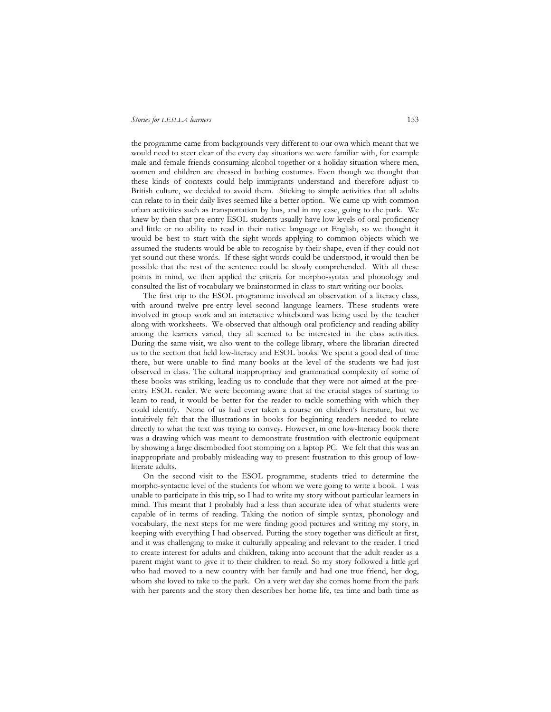the programme came from backgrounds very different to our own which meant that we would need to steer clear of the every day situations we were familiar with, for example male and female friends consuming alcohol together or a holiday situation where men, women and children are dressed in bathing costumes. Even though we thought that these kinds of contexts could help immigrants understand and therefore adjust to British culture, we decided to avoid them. Sticking to simple activities that all adults can relate to in their daily lives seemed like a better option. We came up with common urban activities such as transportation by bus, and in my case, going to the park. We knew by then that pre-entry ESOL students usually have low levels of oral proficiency and little or no ability to read in their native language or English, so we thought it would be best to start with the sight words applying to common objects which we assumed the students would be able to recognise by their shape, even if they could not yet sound out these words. If these sight words could be understood, it would then be possible that the rest of the sentence could be slowly comprehended. With all these points in mind, we then applied the criteria for morpho-syntax and phonology and consulted the list of vocabulary we brainstormed in class to start writing our books.

 The first trip to the ESOL programme involved an observation of a literacy class, with around twelve pre-entry level second language learners. These students were involved in group work and an interactive whiteboard was being used by the teacher along with worksheets. We observed that although oral proficiency and reading ability among the learners varied, they all seemed to be interested in the class activities. During the same visit, we also went to the college library, where the librarian directed us to the section that held low-literacy and ESOL books. We spent a good deal of time there, but were unable to find many books at the level of the students we had just observed in class. The cultural inappropriacy and grammatical complexity of some of these books was striking, leading us to conclude that they were not aimed at the preentry ESOL reader. We were becoming aware that at the crucial stages of starting to learn to read, it would be better for the reader to tackle something with which they could identify. None of us had ever taken a course on children's literature, but we intuitively felt that the illustrations in books for beginning readers needed to relate directly to what the text was trying to convey. However, in one low-literacy book there was a drawing which was meant to demonstrate frustration with electronic equipment by showing a large disembodied foot stomping on a laptop PC. We felt that this was an inappropriate and probably misleading way to present frustration to this group of lowliterate adults.

 On the second visit to the ESOL programme, students tried to determine the morpho-syntactic level of the students for whom we were going to write a book. I was unable to participate in this trip, so I had to write my story without particular learners in mind. This meant that I probably had a less than accurate idea of what students were capable of in terms of reading. Taking the notion of simple syntax, phonology and vocabulary, the next steps for me were finding good pictures and writing my story, in keeping with everything I had observed. Putting the story together was difficult at first, and it was challenging to make it culturally appealing and relevant to the reader. I tried to create interest for adults and children, taking into account that the adult reader as a parent might want to give it to their children to read. So my story followed a little girl who had moved to a new country with her family and had one true friend, her dog, whom she loved to take to the park. On a very wet day she comes home from the park with her parents and the story then describes her home life, tea time and bath time as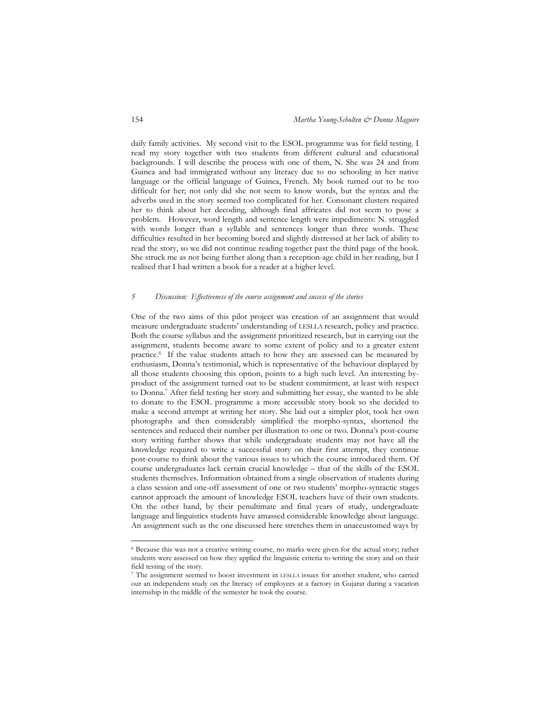daily family activities. My second visit to the ESOL programme was for field testing. I read my story together with two students from different cultural and educational backgrounds. I will describe the process with one of them, N. She was 24 and from Guinea and had immigrated without any literacy due to no schooling in her native language or the official language of Guinea, French. My book turned out to be too difficult for her; not only did she not seem to know words, but the syntax and the adverbs used in the story seemed too complicated for her. Consonant clusters required her to think about her decoding, although final affricates did not seem to pose a problem. However, word length and sentence length were impediments: N. struggled with words longer than a syllable and sentences longer than three words. These difficulties resulted in her becoming bored and slightly distressed at her lack of ability to read the story, so we did not continue reading together past the third page of the book. She struck me as not being further along than a reception-age child in her reading, but I realised that I had written a book for a reader at a higher level.

## *5 Discussion: Effectiveness of the course assignment and success of the stories*

One of the two aims of this pilot project was creation of an assignment that would measure undergraduate students' understanding of LESLLA research, policy and practice. Both the course syllabus and the assignment prioritized research, but in carrying out the assignment, students become aware to some extent of policy and to a greater extent practice.<sup>6</sup> If the value students attach to how they are assessed can be measured by enthusiasm, Donna's testimonial, which is representative of the behaviour displayed by all those students choosing this option, points to a high such level. An interesting byproduct of the assignment turned out to be student commitment, at least with respect to Donna.<sup>7</sup> After field testing her story and submitting her essay, she wanted to be able to donate to the ESOL programme a more accessible story book so she decided to make a second attempt at writing her story. She laid out a simpler plot, took her own photographs and then considerably simplified the morpho-syntax, shortened the sentences and reduced their number per illustration to one or two. Donna's post-course story writing further shows that while undergraduate students may not have all the knowledge required to write a successful story on their first attempt, they continue post-course to think about the various issues to which the course introduced them. Of course undergraduates lack certain crucial knowledge – that of the skills of the ESOL students themselves. Information obtained from a single observation of students during a class session and one-off assessment of one or two students' morpho-syntactic stages cannot approach the amount of knowledge ESOL teachers have of their own students. On the other hand, by their penultimate and final years of study, undergraduate language and linguistics students have amassed considerable knowledge about language. An assignment such as the one discussed here stretches them in unaccustomed ways by

-

<sup>6</sup> Because this was not a creative writing course, no marks were given for the actual story; rather students were assessed on how they applied the linguistic criteria to writing the story and on their field testing of the story.

<sup>7</sup> The assignment seemed to boost investment in LESLLA issues for another student, who carried out an independent study on the literacy of employees at a factory in Gujarat during a vacation internship in the middle of the semester he took the course.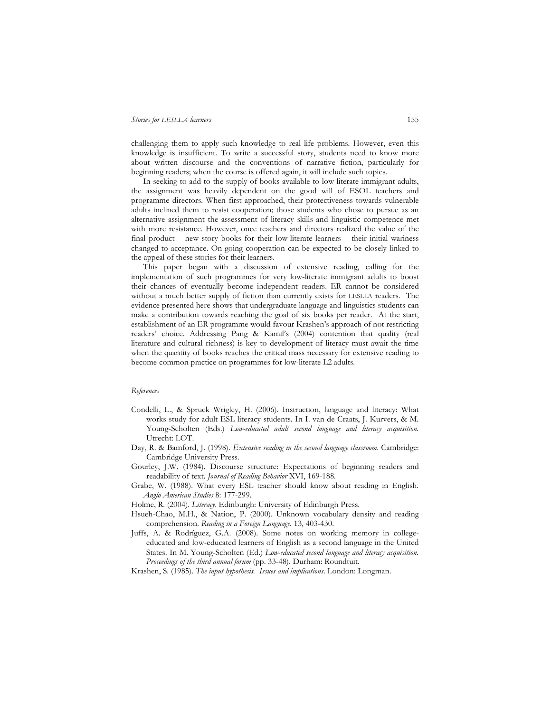challenging them to apply such knowledge to real life problems. However, even this knowledge is insufficient. To write a successful story, students need to know more about written discourse and the conventions of narrative fiction, particularly for beginning readers; when the course is offered again, it will include such topics.

 In seeking to add to the supply of books available to low-literate immigrant adults, the assignment was heavily dependent on the good will of ESOL teachers and programme directors. When first approached, their protectiveness towards vulnerable adults inclined them to resist cooperation; those students who chose to pursue as an alternative assignment the assessment of literacy skills and linguistic competence met with more resistance. However, once teachers and directors realized the value of the final product – new story books for their low-literate learners – their initial wariness changed to acceptance. On-going cooperation can be expected to be closely linked to the appeal of these stories for their learners.

 This paper began with a discussion of extensive reading, calling for the implementation of such programmes for very low-literate immigrant adults to boost their chances of eventually become independent readers. ER cannot be considered without a much better supply of fiction than currently exists for LESLLA readers. The evidence presented here shows that undergraduate language and linguistics students can make a contribution towards reaching the goal of six books per reader. At the start, establishment of an ER programme would favour Krashen's approach of not restricting readers' choice. Addressing Pang & Kamil's (2004) contention that quality (real literature and cultural richness) is key to development of literacy must await the time when the quantity of books reaches the critical mass necessary for extensive reading to become common practice on programmes for low-literate L2 adults.

## *References*

- Condelli, L., & Spruck Wrigley, H. (2006). Instruction, language and literacy: What works study for adult ESL literacy students. In I. van de Craats, J. Kurvers, & M. Young-Scholten (Eds.) *Low-educated adult second language and literacy acquisition.* Utrecht: LOT.
- Day, R. & Bamford, J. (1998). *Extensive reading in the second language classroom*. Cambridge: Cambridge University Press.
- Gourley, J.W. (1984). Discourse structure: Expectations of beginning readers and readability of text. *Journal of Reading Behavior* XVI, 169-188.
- Grabe, W. (1988). What every ESL teacher should know about reading in English. *Anglo American Studies* 8: 177-299.
- Holme, R. (2004). *Literacy*. Edinburgh: University of Edinburgh Press.
- Hsueh-Chao, M.H., & Nation, P. (2000). Unknown vocabulary density and reading comprehension. *Reading in a Foreign Language*. 13, 403-430.
- Juffs, A. & Rodríguez, G.A. (2008). Some notes on working memory in collegeeducated and low-educated learners of English as a second language in the United States. In M. Young-Scholten (Ed.) *Low-educated second language and literacy acquisition. Proceedings of the third annual forum* (pp. 33-48). Durham: Roundtuit.
- Krashen, S. (1985). *The input hypothesis. Issues and implications*. London: Longman.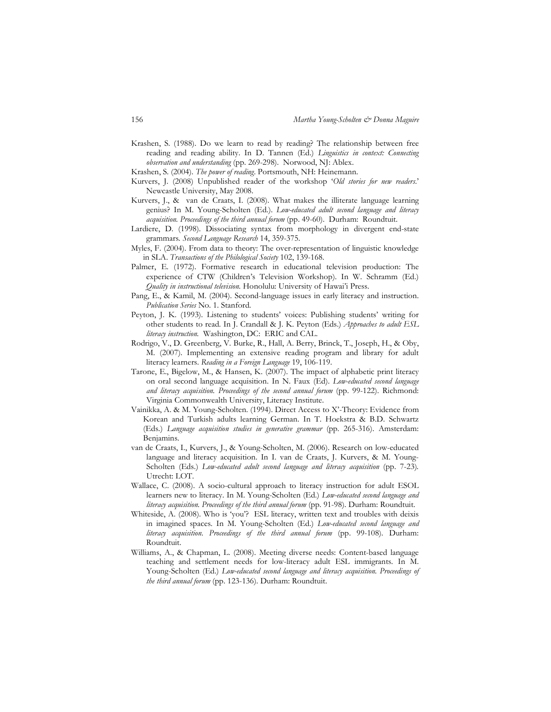Krashen, S. (1988). Do we learn to read by reading? The relationship between free reading and reading ability. In D. Tannen (Ed.) *Linguistics in context: Connecting observation and understanding* (pp. 269-298). Norwood, NJ: Ablex.

Krashen, S. (2004). *The power of reading*. Portsmouth, NH: Heinemann.

- Kurvers, J. (2008) Unpublished reader of the workshop '*Old stories for new readers*.' Newcastle University, May 2008.
- Kurvers, J., & van de Craats, I. (2008). What makes the illiterate language learning genius? In M. Young-Scholten (Ed.). *Low-educated adult second language and literacy acquisition. Proceedings of the third annual forum* (pp. 49-60). Durham: Roundtuit.
- Lardiere, D. (1998). Dissociating syntax from morphology in divergent end-state grammars*. Second Language Research* 14, 359-375.
- Myles, F. (2004). From data to theory: The over-representation of linguistic knowledge in SLA. *Transactions of the Philological Society* 102, 139-168.
- Palmer, E. (1972). Formative research in educational television production: The experience of CTW (Children's Television Workshop). In W. Schramm (Ed.) *Quality in instructional television.* Honolulu: University of Hawai'i Press.
- Pang, E., & Kamil, M. (2004). Second-language issues in early literacy and instruction. *Publication Series* No. 1. Stanford*.*
- Peyton, J. K. (1993). Listening to students' voices: Publishing students' writing for other students to read. In J. Crandall & J. K. Peyton (Eds.) *Approaches to adult ESL literacy instruction.* Washington, DC: ERIC and CAL.
- Rodrigo, V., D. Greenberg, V. Burke, R., Hall, A. Berry, Brinck, T., Joseph, H., & Oby, M. (2007). Implementing an extensive reading program and library for adult literacy learners. *Reading in a Foreign Language* 19, 106-119.
- Tarone, E., Bigelow, M., & Hansen, K. (2007). The impact of alphabetic print literacy on oral second language acquisition. In N. Faux (Ed). *Low-educated second language and literacy acquisition. Proceedings of the second annual forum* (pp. 99-122). Richmond: Virginia Commonwealth University, Literacy Institute.
- Vainikka, A. & M. Young-Scholten. (1994). Direct Access to X'-Theory: Evidence from Korean and Turkish adults learning German. In T. Hoekstra & B.D. Schwartz (Eds.) *Language acquisition studies in generative grammar* (pp. 265-316). Amsterdam: Benjamins.
- van de Craats, I., Kurvers, J., & Young-Scholten, M. (2006). Research on low-educated language and literacy acquisition. In I. van de Craats, J. Kurvers, & M. Young-Scholten (Eds.) *Low-educated adult second language and literacy acquisition* (pp. 7-23). Utrecht: LOT.
- Wallace, C. (2008). A socio-cultural approach to literacy instruction for adult ESOL learners new to literacy. In M. Young-Scholten (Ed.) *Low-educated second language and literacy acquisition. Proceedings of the third annual forum* (pp. 91-98). Durham: Roundtuit.
- Whiteside, A. (2008). Who is 'you'? ESL literacy, written text and troubles with deixis in imagined spaces. In M. Young-Scholten (Ed.) *Low-educated second language and literacy acquisition. Proceedings of the third annual forum* (pp. 99-108). Durham: Roundtuit.
- Williams, A., & Chapman, L. (2008). Meeting diverse needs: Content-based language teaching and settlement needs for low-literacy adult ESL immigrants. In M. Young-Scholten (Ed.) *Low-educated second language and literacy acquisition. Proceedings of the third annual forum* (pp. 123-136). Durham: Roundtuit.